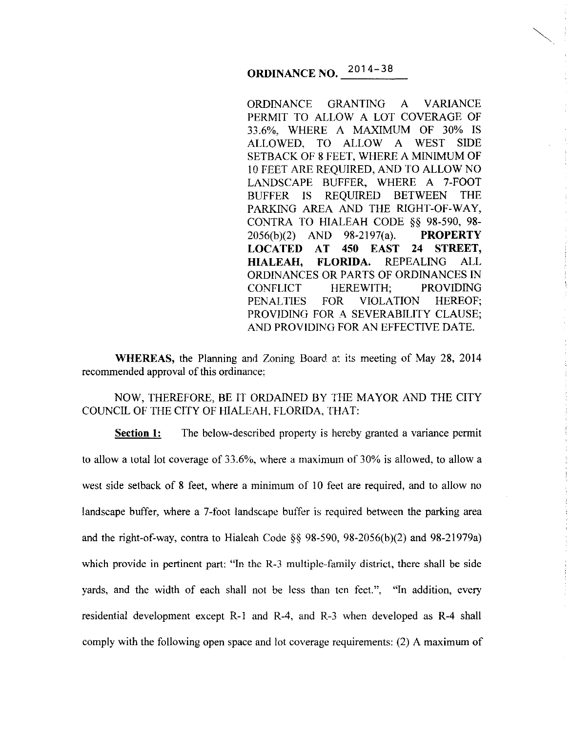## **ORDINANCE NO.** 2014-38

ORDINANCE GRANTING A VARIANCE PERMIT TO ALLOW A LOT COVERAGE OF 33.6%, WHERE A MAXIMUM OF 30% IS ALLOWED, TO ALLOW A WEST SIDE SETBACK OF 8 FEET, WHERE A MINIMUM OF 10 FEET ARE REQUIRED, AND TO ALLOW NO LANDSCAPE BUFFER, WHERE A 7-FOOT BUFFER IS REQUIRED BETWEEN THE PARKING AREA AND THE RIGHT-OF-WAY, CONTRA TO HIALEAH CODE §§ 98-590, 98- 2056(b)(2) AND 98-2197(a). **PROPERTY LOCATED AT 450 EAST 24 STREET, HIALEAH, FLORIDA.** REPEALING ALL ORDINANCES OR PARTS OF ORDINANCES IN CONFLICT HEREWITH; PROVIDING PENALTIES FOR VIOLATION HEREOF; PROVIDING FOR A SEVERABILITY CLAUSE; AND PROVIDING FOR AN EFFECTIVE DATE.

**WHEREAS, the Planning and Zoning Board at its meeting of May 28, 2014** recommended approval of this ordinance:

NOW, THEREFORE, BE IT ORDAINED BY THE MAYOR AND THE CITY COUNCIL OF THE CITY OF HIALEAH, FLORIDA, THAT:

**Section 1:** The below-described property is hereby granted a variance permit to allow a total lot coverage of 33.6%, where a maximum of 30% is allowed, to allow a west side setback of 8 feet, where a minimum of 10 feet are required, and to allow no landscape buffer, where a 7-foot landscape buffer is required between the parking area and the right-of-way, contra to Hialeah Code §§ 98-590, 98-2056(b)(2) and 98-21979a) which provide in pertinent part: "In the R-3 multiple-family district, there shall be side yards, and the width of each shall not be less than ten feet.", "In addition, every residential development except R-1 and R-4, and R-3 when developed as R-4 shall comply with the following open space and lot coverage requirements: (2) A maximum of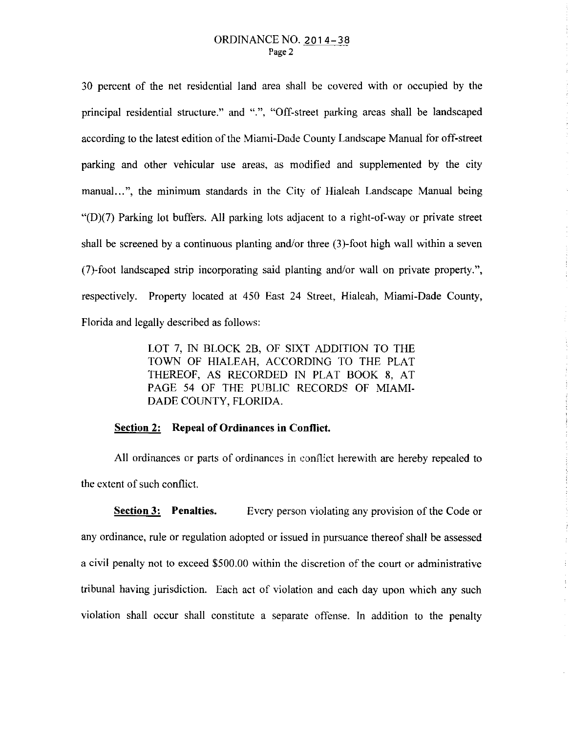30 percent of the net residential land area shall be covered with or occupied by the principal residential structure." and ".", "Off-street parking areas shall be landscaped according to the latest edition of the Mian1i-Dade County Landscape Manual for off-street parking and other vehicular use areas, as modified and supplemented by the city manual...", the minimum standards in the City of Hialeah Landscape Manual being "(D)(7) Parking lot buffers. All parking lots adjacent to a right-of-way or private street shall be screened by a continuous planting and/or three (3)-foot high wall within a seven (7)-foot landscaped strip incorporating said planting and/or wall on private property.", respectively. Property located at 450 East 24 Street, Hialeah, Miami-Dade County, Florida and legally described as follows:

> LOT 7, IN BLOCK 2B, OF SIXT ADDITION TO THE TOWN OF HIALEAH, ACCORDING TO THE PLAT THEREOF, AS RECORDED IN PLAT BOOK 8, AT PAGE 54 OF THE PUBLIC RECORDS OF MIAMI-DADE COUNTY, FLORIDA.

## **Section 2: Repeal of Ordinances in Conflict.**

All ordinances or parts of ordinances in conflict herewith are hereby repealed to the extent of such conflict.

**Section 3:** Penalties. Every person violating any provision of the Code or any ordinance, rule or regulation adopted or issued in pursuance thereof shall be assessed a civil penalty not to exceed \$500.00 within the discretion of the court or administrative tribunal having jurisdiction. Each act of violation and each day upon which any such violation shall occur shall constitute a separate offense. In addition to the penalty

 $\bar{z}$